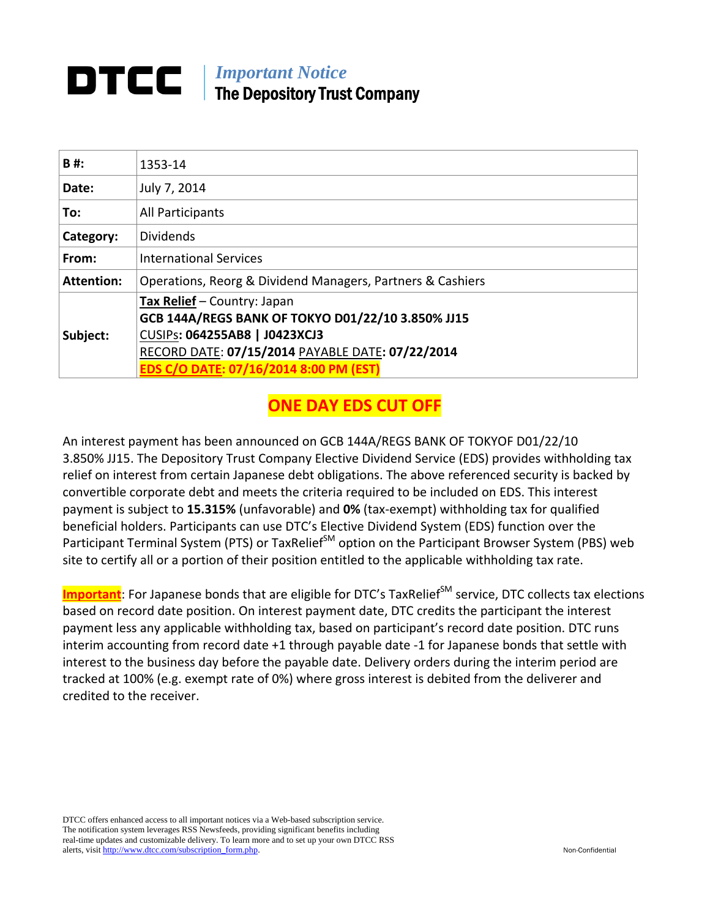## *Important Notice*  The Depository Trust Company

| 1353-14                                                                                                                                                                                                         |
|-----------------------------------------------------------------------------------------------------------------------------------------------------------------------------------------------------------------|
| July 7, 2014                                                                                                                                                                                                    |
| All Participants                                                                                                                                                                                                |
| <b>Dividends</b>                                                                                                                                                                                                |
| <b>International Services</b>                                                                                                                                                                                   |
| Operations, Reorg & Dividend Managers, Partners & Cashiers                                                                                                                                                      |
| Tax Relief - Country: Japan<br>GCB 144A/REGS BANK OF TOKYO D01/22/10 3.850% JJ15<br>CUSIPs: 064255AB8   J0423XCJ3<br>RECORD DATE: 07/15/2014 PAYABLE DATE: 07/22/2014<br>EDS C/O DATE: 07/16/2014 8:00 PM (EST) |
|                                                                                                                                                                                                                 |

## **ONE DAY EDS CUT OFF**

An interest payment has been announced on GCB 144A/REGS BANK OF TOKYOF D01/22/10 3.850% JJ15. The Depository Trust Company Elective Dividend Service (EDS) provides withholding tax relief on interest from certain Japanese debt obligations. The above referenced security is backed by convertible corporate debt and meets the criteria required to be included on EDS. This interest payment is subject to **15.315%** (unfavorable) and **0%** (tax‐exempt) withholding tax for qualified beneficial holders. Participants can use DTC's Elective Dividend System (EDS) function over the Participant Terminal System (PTS) or TaxRelief<sup>SM</sup> option on the Participant Browser System (PBS) web site to certify all or a portion of their position entitled to the applicable withholding tax rate.

Important: For Japanese bonds that are eligible for DTC's TaxRelief<sup>SM</sup> service, DTC collects tax elections based on record date position. On interest payment date, DTC credits the participant the interest payment less any applicable withholding tax, based on participant's record date position. DTC runs interim accounting from record date +1 through payable date ‐1 for Japanese bonds that settle with interest to the business day before the payable date. Delivery orders during the interim period are tracked at 100% (e.g. exempt rate of 0%) where gross interest is debited from the deliverer and credited to the receiver.